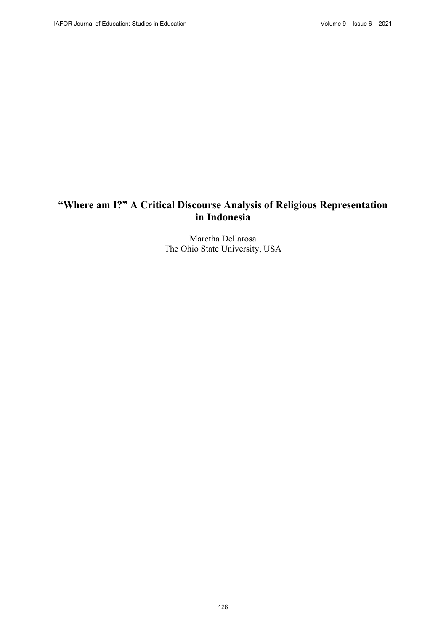# **"Where am I?" A Critical Discourse Analysis of Religious Representation in Indonesia**

Maretha Dellarosa The Ohio State University, USA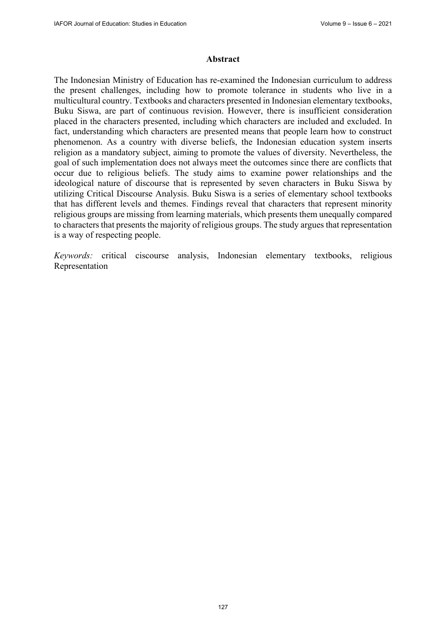#### **Abstract**

The Indonesian Ministry of Education has re-examined the Indonesian curriculum to address the present challenges, including how to promote tolerance in students who live in a multicultural country. Textbooks and characters presented in Indonesian elementary textbooks, Buku Siswa, are part of continuous revision. However, there is insufficient consideration placed in the characters presented, including which characters are included and excluded. In fact, understanding which characters are presented means that people learn how to construct phenomenon. As a country with diverse beliefs, the Indonesian education system inserts religion as a mandatory subject, aiming to promote the values of diversity. Nevertheless, the goal of such implementation does not always meet the outcomes since there are conflicts that occur due to religious beliefs. The study aims to examine power relationships and the ideological nature of discourse that is represented by seven characters in Buku Siswa by utilizing Critical Discourse Analysis. Buku Siswa is a series of elementary school textbooks that has different levels and themes. Findings reveal that characters that represent minority religious groups are missing from learning materials, which presents them unequally compared to characters that presents the majority of religious groups. The study argues that representation is a way of respecting people.

*Keywords:* critical ciscourse analysis, Indonesian elementary textbooks, religious Representation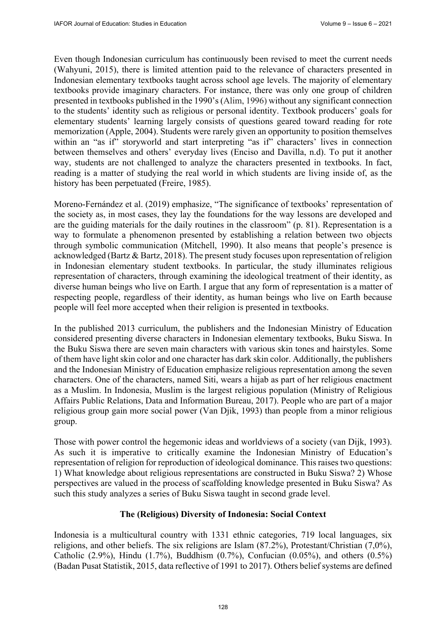Even though Indonesian curriculum has continuously been revised to meet the current needs (Wahyuni, 2015), there is limited attention paid to the relevance of characters presented in Indonesian elementary textbooks taught across school age levels. The majority of elementary textbooks provide imaginary characters. For instance, there was only one group of children presented in textbooks published in the 1990's (Alim, 1996) without any significant connection to the students' identity such as religious or personal identity. Textbook producers' goals for elementary students' learning largely consists of questions geared toward reading for rote memorization (Apple, 2004). Students were rarely given an opportunity to position themselves within an "as if" storyworld and start interpreting "as if" characters' lives in connection between themselves and others' everyday lives (Enciso and Davilla, n.d). To put it another way, students are not challenged to analyze the characters presented in textbooks. In fact, reading is a matter of studying the real world in which students are living inside of, as the history has been perpetuated (Freire, 1985).

Moreno-Fernández et al. (2019) emphasize, "The significance of textbooks' representation of the society as, in most cases, they lay the foundations for the way lessons are developed and are the guiding materials for the daily routines in the classroom" (p. 81). Representation is a way to formulate a phenomenon presented by establishing a relation between two objects through symbolic communication (Mitchell, 1990). It also means that people's presence is acknowledged (Bartz & Bartz, 2018). The present study focuses upon representation of religion in Indonesian elementary student textbooks. In particular, the study illuminates religious representation of characters, through examining the ideological treatment of their identity, as diverse human beings who live on Earth. I argue that any form of representation is a matter of respecting people, regardless of their identity, as human beings who live on Earth because people will feel more accepted when their religion is presented in textbooks.

In the published 2013 curriculum, the publishers and the Indonesian Ministry of Education considered presenting diverse characters in Indonesian elementary textbooks, Buku Siswa. In the Buku Siswa there are seven main characters with various skin tones and hairstyles. Some of them have light skin color and one character has dark skin color. Additionally, the publishers and the Indonesian Ministry of Education emphasize religious representation among the seven characters. One of the characters, named Siti, wears a hijab as part of her religious enactment as a Muslim. In Indonesia, Muslim is the largest religious population (Ministry of Religious Affairs Public Relations, Data and Information Bureau, 2017). People who are part of a major religious group gain more social power (Van Djik, 1993) than people from a minor religious group.

Those with power control the hegemonic ideas and worldviews of a society (van Dijk, 1993). As such it is imperative to critically examine the Indonesian Ministry of Education's representation of religion for reproduction of ideological dominance. This raises two questions: 1) What knowledge about religious representations are constructed in Buku Siswa? 2) Whose perspectives are valued in the process of scaffolding knowledge presented in Buku Siswa? As such this study analyzes a series of Buku Siswa taught in second grade level.

### **The (Religious) Diversity of Indonesia: Social Context**

Indonesia is a multicultural country with 1331 ethnic categories, 719 local languages, six religions, and other beliefs. The six religions are Islam (87.2%), Protestant/Christian (7,0%), Catholic (2.9%), Hindu (1.7%), Buddhism (0.7%), Confucian (0.05%), and others (0.5%) (Badan Pusat Statistik, 2015, data reflective of 1991 to 2017). Others belief systems are defined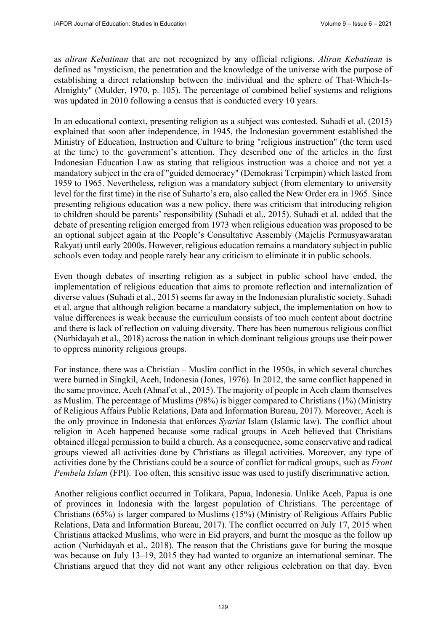as *aliran Kebatinan* that are not recognized by any official religions. *Aliran Kebatinan* is defined as "mysticism, the penetration and the knowledge of the universe with the purpose of establishing a direct relationship between the individual and the sphere of That-Which-Is-Almighty" (Mulder, 1970, p. 105). The percentage of combined belief systems and religions was updated in 2010 following a census that is conducted every 10 years.

In an educational context, presenting religion as a subject was contested. Suhadi et al. (2015) explained that soon after independence, in 1945, the Indonesian government established the Ministry of Education, Instruction and Culture to bring "religious instruction" (the term used at the time) to the government's attention. They described one of the articles in the first Indonesian Education Law as stating that religious instruction was a choice and not yet a mandatory subject in the era of "guided democracy" (Demokrasi Terpimpin) which lasted from 1959 to 1965. Nevertheless, religion was a mandatory subject (from elementary to university level for the first time) in the rise of Suharto's era, also called the New Order era in 1965. Since presenting religious education was a new policy, there was criticism that introducing religion to children should be parents' responsibility (Suhadi et al., 2015). Suhadi et al. added that the debate of presenting religion emerged from 1973 when religious education was proposed to be an optional subject again at the People's Consultative Assembly (Majelis Permusyawaratan Rakyat) until early 2000s. However, religious education remains a mandatory subject in public schools even today and people rarely hear any criticism to eliminate it in public schools.

Even though debates of inserting religion as a subject in public school have ended, the implementation of religious education that aims to promote reflection and internalization of diverse values (Suhadi et al., 2015) seems far away in the Indonesian pluralistic society. Suhadi et al. argue that although religion became a mandatory subject, the implementation on how to value differences is weak because the curriculum consists of too much content about doctrine and there is lack of reflection on valuing diversity. There has been numerous religious conflict (Nurhidayah et al., 2018) across the nation in which dominant religious groups use their power to oppress minority religious groups.

For instance, there was a Christian – Muslim conflict in the 1950s, in which several churches were burned in Singkil, Aceh, Indonesia (Jones, 1976). In 2012, the same conflict happened in the same province, Aceh (Ahnaf et al., 2015). The majority of people in Aceh claim themselves as Muslim. The percentage of Muslims (98%) is bigger compared to Christians (1%) (Ministry of Religious Affairs Public Relations, Data and Information Bureau, 2017). Moreover, Aceh is the only province in Indonesia that enforces *Syariat* Islam (Islamic law). The conflict about religion in Aceh happened because some radical groups in Aceh believed that Christians obtained illegal permission to build a church. As a consequence, some conservative and radical groups viewed all activities done by Christians as illegal activities. Moreover, any type of activities done by the Christians could be a source of conflict for radical groups, such as *Front Pembela Islam* (FPI). Too often, this sensitive issue was used to justify discriminative action.

Another religious conflict occurred in Tolikara, Papua, Indonesia. Unlike Aceh, Papua is one of provinces in Indonesia with the largest population of Christians. The percentage of Christians (65%) is larger compared to Muslims (15%) (Ministry of Religious Affairs Public Relations, Data and Information Bureau, 2017). The conflict occurred on July 17, 2015 when Christians attacked Muslims, who were in Eid prayers, and burnt the mosque as the follow up action (Nurhidayah et al., 2018). The reason that the Christians gave for buring the mosque was because on July 13–19, 2015 they had wanted to organize an international seminar. The Christians argued that they did not want any other religious celebration on that day. Even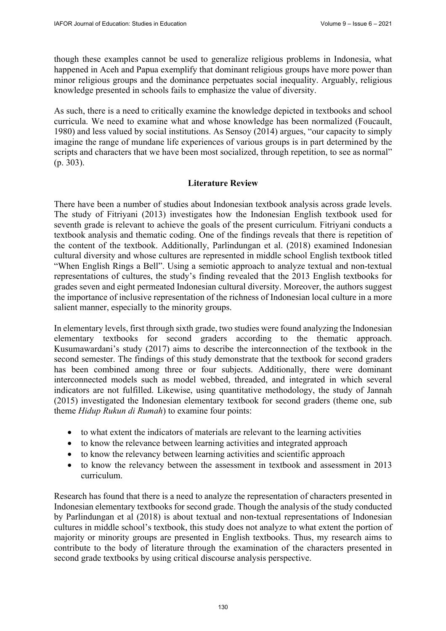though these examples cannot be used to generalize religious problems in Indonesia, what happened in Aceh and Papua exemplify that dominant religious groups have more power than minor religious groups and the dominance perpetuates social inequality. Arguably, religious knowledge presented in schools fails to emphasize the value of diversity.

As such, there is a need to critically examine the knowledge depicted in textbooks and school curricula. We need to examine what and whose knowledge has been normalized (Foucault, 1980) and less valued by social institutions. As Sensoy (2014) argues, "our capacity to simply imagine the range of mundane life experiences of various groups is in part determined by the scripts and characters that we have been most socialized, through repetition, to see as normal" (p. 303).

## **Literature Review**

There have been a number of studies about Indonesian textbook analysis across grade levels. The study of Fitriyani (2013) investigates how the Indonesian English textbook used for seventh grade is relevant to achieve the goals of the present curriculum. Fitriyani conducts a textbook analysis and thematic coding. One of the findings reveals that there is repetition of the content of the textbook. Additionally, Parlindungan et al. (2018) examined Indonesian cultural diversity and whose cultures are represented in middle school English textbook titled "When English Rings a Bell". Using a semiotic approach to analyze textual and non-textual representations of cultures, the study's finding revealed that the 2013 English textbooks for grades seven and eight permeated Indonesian cultural diversity. Moreover, the authors suggest the importance of inclusive representation of the richness of Indonesian local culture in a more salient manner, especially to the minority groups.

In elementary levels, first through sixth grade, two studies were found analyzing the Indonesian elementary textbooks for second graders according to the thematic approach. Kusumawardani's study (2017) aims to describe the interconnection of the textbook in the second semester. The findings of this study demonstrate that the textbook for second graders has been combined among three or four subjects. Additionally, there were dominant interconnected models such as model webbed, threaded, and integrated in which several indicators are not fulfilled. Likewise, using quantitative methodology, the study of Jannah (2015) investigated the Indonesian elementary textbook for second graders (theme one, sub theme *Hidup Rukun di Rumah*) to examine four points:

- to what extent the indicators of materials are relevant to the learning activities
- to know the relevance between learning activities and integrated approach
- to know the relevancy between learning activities and scientific approach
- to know the relevancy between the assessment in textbook and assessment in 2013 curriculum.

Research has found that there is a need to analyze the representation of characters presented in Indonesian elementary textbooks for second grade. Though the analysis of the study conducted by Parlindungan et al (2018) is about textual and non-textual representations of Indonesian cultures in middle school's textbook, this study does not analyze to what extent the portion of majority or minority groups are presented in English textbooks. Thus, my research aims to contribute to the body of literature through the examination of the characters presented in second grade textbooks by using critical discourse analysis perspective.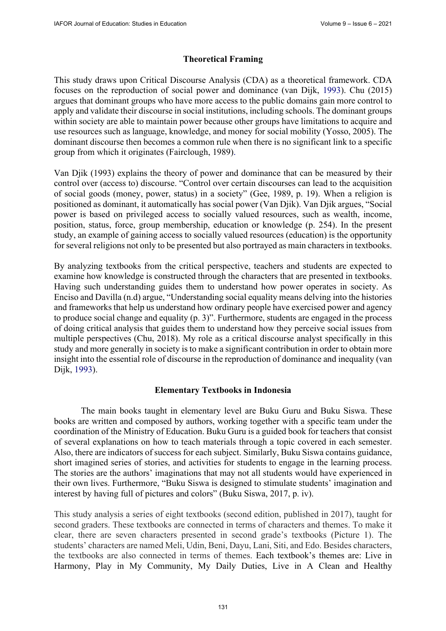## **Theoretical Framing**

This study draws upon Critical Discourse Analysis (CDA) as a theoretical framework. CDA focuses on the reproduction of social power and dominance (van Dijk, 1993). Chu (2015) argues that dominant groups who have more access to the public domains gain more control to apply and validate their discourse in social institutions, including schools. The dominant groups within society are able to maintain power because other groups have limitations to acquire and use resources such as language, knowledge, and money for social mobility (Yosso, 2005). The dominant discourse then becomes a common rule when there is no significant link to a specific group from which it originates (Fairclough, 1989).

Van Djik (1993) explains the theory of power and dominance that can be measured by their control over (access to) discourse. "Control over certain discourses can lead to the acquisition of social goods (money, power, status) in a society" (Gee, 1989, p. 19). When a religion is positioned as dominant, it automatically has social power (Van Djik). Van Djik argues, "Social power is based on privileged access to socially valued resources, such as wealth, income, position, status, force, group membership, education or knowledge (p. 254). In the present study, an example of gaining access to socially valued resources (education) is the opportunity for several religions not only to be presented but also portrayed as main characters in textbooks.

By analyzing textbooks from the critical perspective, teachers and students are expected to examine how knowledge is constructed through the characters that are presented in textbooks. Having such understanding guides them to understand how power operates in society. As Enciso and Davilla (n.d) argue, "Understanding social equality means delving into the histories and frameworks that help us understand how ordinary people have exercised power and agency to produce social change and equality (p. 3)". Furthermore, students are engaged in the process of doing critical analysis that guides them to understand how they perceive social issues from multiple perspectives (Chu, 2018). My role as a critical discourse analyst specifically in this study and more generally in society is to make a significant contribution in order to obtain more insight into the essential role of discourse in the reproduction of dominance and inequality (van Dijk, 1993).

## **Elementary Textbooks in Indonesia**

The main books taught in elementary level are Buku Guru and Buku Siswa. These books are written and composed by authors, working together with a specific team under the coordination of the Ministry of Education. Buku Guru is a guided book for teachers that consist of several explanations on how to teach materials through a topic covered in each semester. Also, there are indicators of success for each subject. Similarly, Buku Siswa contains guidance, short imagined series of stories, and activities for students to engage in the learning process. The stories are the authors' imaginations that may not all students would have experienced in their own lives. Furthermore, "Buku Siswa is designed to stimulate students' imagination and interest by having full of pictures and colors" (Buku Siswa, 2017, p. iv).

This study analysis a series of eight textbooks (second edition, published in 2017), taught for second graders. These textbooks are connected in terms of characters and themes. To make it clear, there are seven characters presented in second grade's textbooks (Picture 1). The students' characters are named Meli, Udin, Beni, Dayu, Lani, Siti, and Edo. Besides characters, the textbooks are also connected in terms of themes. Each textbook's themes are: Live in Harmony, Play in My Community, My Daily Duties, Live in A Clean and Healthy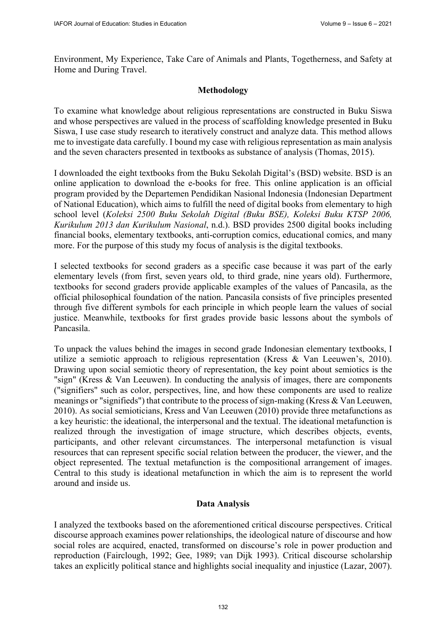Environment, My Experience, Take Care of Animals and Plants, Togetherness, and Safety at Home and During Travel.

## **Methodology**

To examine what knowledge about religious representations are constructed in Buku Siswa and whose perspectives are valued in the process of scaffolding knowledge presented in Buku Siswa, I use case study research to iteratively construct and analyze data. This method allows me to investigate data carefully. I bound my case with religious representation as main analysis and the seven characters presented in textbooks as substance of analysis (Thomas, 2015).

I downloaded the eight textbooks from the Buku Sekolah Digital's (BSD) website. BSD is an online application to download the e-books for free. This online application is an official program provided by the Departemen Pendidikan Nasional Indonesia (Indonesian Department of National Education), which aims to fulfill the need of digital books from elementary to high school level (*Koleksi 2500 Buku Sekolah Digital (Buku BSE), Koleksi Buku KTSP 2006, Kurikulum 2013 dan Kurikulum Nasional*, n.d.). BSD provides 2500 digital books including financial books, elementary textbooks, anti-corruption comics, educational comics, and many more. For the purpose of this study my focus of analysis is the digital textbooks.

I selected textbooks for second graders as a specific case because it was part of the early elementary levels (from first, seven years old, to third grade, nine years old). Furthermore, textbooks for second graders provide applicable examples of the values of Pancasila, as the official philosophical foundation of the nation. Pancasila consists of five principles presented through five different symbols for each principle in which people learn the values of social justice. Meanwhile, textbooks for first grades provide basic lessons about the symbols of Pancasila.

To unpack the values behind the images in second grade Indonesian elementary textbooks, I utilize a semiotic approach to religious representation (Kress & Van Leeuwen's, 2010). Drawing upon social semiotic theory of representation, the key point about semiotics is the "sign" (Kress & Van Leeuwen). In conducting the analysis of images, there are components ("signifiers" such as color, perspectives, line, and how these components are used to realize meanings or "signifieds") that contribute to the process of sign-making (Kress & Van Leeuwen, 2010). As social semioticians, Kress and Van Leeuwen (2010) provide three metafunctions as a key heuristic: the ideational, the interpersonal and the textual. The ideational metafunction is realized through the investigation of image structure, which describes objects, events, participants, and other relevant circumstances. The interpersonal metafunction is visual resources that can represent specific social relation between the producer, the viewer, and the object represented. The textual metafunction is the compositional arrangement of images. Central to this study is ideational metafunction in which the aim is to represent the world around and inside us.

## **Data Analysis**

I analyzed the textbooks based on the aforementioned critical discourse perspectives. Critical discourse approach examines power relationships, the ideological nature of discourse and how social roles are acquired, enacted, transformed on discourse's role in power production and reproduction (Fairclough, 1992; Gee, 1989; van Dijk 1993). Critical discourse scholarship takes an explicitly political stance and highlights social inequality and injustice (Lazar, 2007).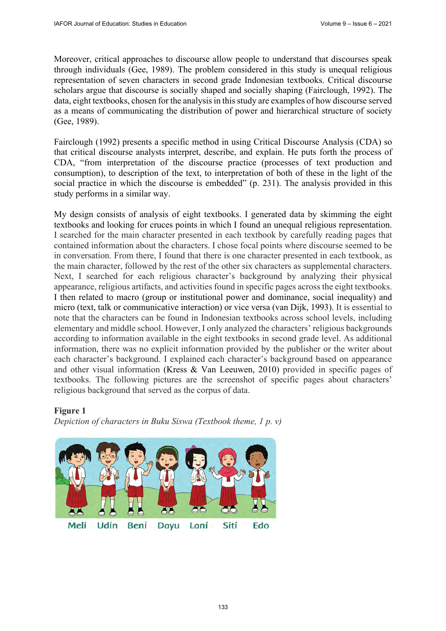Moreover, critical approaches to discourse allow people to understand that discourses speak through individuals (Gee, 1989). The problem considered in this study is unequal religious representation of seven characters in second grade Indonesian textbooks. Critical discourse scholars argue that discourse is socially shaped and socially shaping (Fairclough, 1992). The data, eight textbooks, chosen for the analysis in this study are examples of how discourse served as a means of communicating the distribution of power and hierarchical structure of society (Gee, 1989).

Fairclough (1992) presents a specific method in using Critical Discourse Analysis (CDA) so that critical discourse analysts interpret, describe, and explain. He puts forth the process of CDA, "from interpretation of the discourse practice (processes of text production and consumption), to description of the text, to interpretation of both of these in the light of the social practice in which the discourse is embedded" (p. 231). The analysis provided in this study performs in a similar way.

My design consists of analysis of eight textbooks. I generated data by skimming the eight textbooks and looking for cruces points in which I found an unequal religious representation. I searched for the main character presented in each textbook by carefully reading pages that contained information about the characters. I chose focal points where discourse seemed to be in conversation. From there, I found that there is one character presented in each textbook, as the main character, followed by the rest of the other six characters as supplemental characters. Next, I searched for each religious character's background by analyzing their physical appearance, religious artifacts, and activities found in specific pages across the eight textbooks. I then related to macro (group or institutional power and dominance, social inequality) and micro (text, talk or communicative interaction) or vice versa (van Dijk, 1993). It is essential to note that the characters can be found in Indonesian textbooks across school levels, including elementary and middle school. However, I only analyzed the characters' religious backgrounds according to information available in the eight textbooks in second grade level. As additional information, there was no explicit information provided by the publisher or the writer about each character's background. I explained each character's background based on appearance and other visual information (Kress & Van Leeuwen, 2010) provided in specific pages of textbooks. The following pictures are the screenshot of specific pages about characters' religious background that served as the corpus of data.

### **Figure 1**

*Depiction of characters in Buku Siswa (Textbook theme, 1 p. v)*

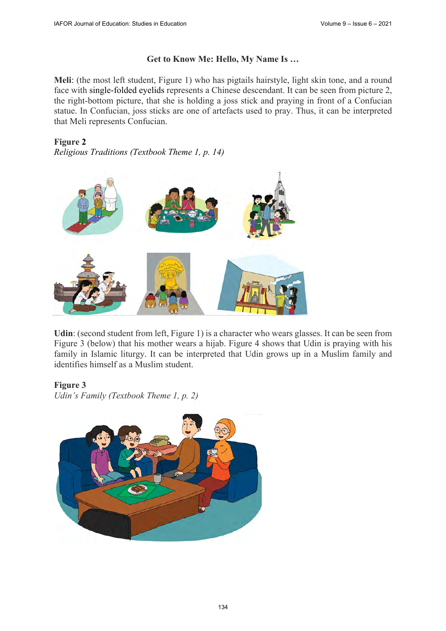# **Get to Know Me: Hello, My Name Is …**

**Meli**: (the most left student, Figure 1) who has pigtails hairstyle, light skin tone, and a round face with single-folded eyelids represents a Chinese descendant. It can be seen from picture 2, the right-bottom picture, that she is holding a joss stick and praying in front of a Confucian statue. In Confucian, joss sticks are one of artefacts used to pray. Thus, it can be interpreted that Meli represents Confucian.

**Figure 2** 

*Religious Traditions (Textbook Theme 1, p. 14)* 



**Udin**: (second student from left, Figure 1) is a character who wears glasses. It can be seen from Figure 3 (below) that his mother wears a hijab. Figure 4 shows that Udin is praying with his family in Islamic liturgy. It can be interpreted that Udin grows up in a Muslim family and identifies himself as a Muslim student.

## **Figure 3**

*Udin's Family (Textbook Theme 1, p. 2)* 

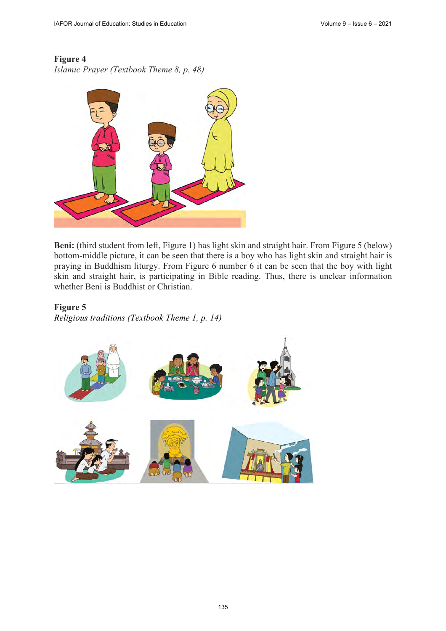# **Figure 4**

*Islamic Prayer (Textbook Theme 8, p. 48)* 



**Beni:** (third student from left, Figure 1) has light skin and straight hair. From Figure 5 (below) bottom-middle picture, it can be seen that there is a boy who has light skin and straight hair is praying in Buddhism liturgy. From Figure 6 number 6 it can be seen that the boy with light skin and straight hair, is participating in Bible reading. Thus, there is unclear information whether Beni is Buddhist or Christian.

## **Figure 5**

*Religious traditions (Textbook Theme 1, p. 14)* 

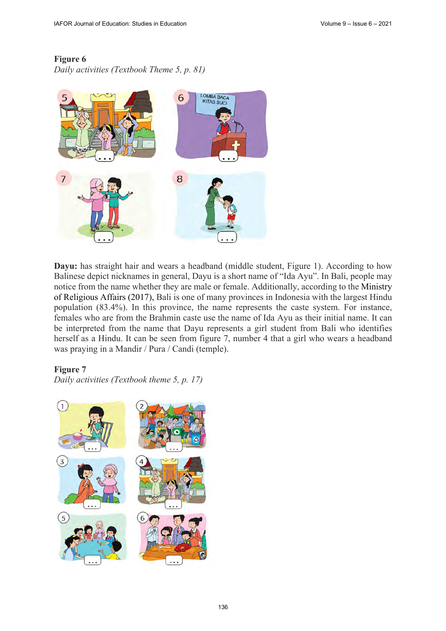## **Figure 6**

*Daily activities (Textbook Theme 5, p. 81)* 



**Dayu:** has straight hair and wears a headband (middle student, Figure 1). According to how Balinese depict nicknames in general, Dayu is a short name of "Ida Ayu". In Bali, people may notice from the name whether they are male or female. Additionally, according to the Ministry of Religious Affairs (2017), Bali is one of many provinces in Indonesia with the largest Hindu population (83.4%). In this province, the name represents the caste system. For instance, females who are from the Brahmin caste use the name of Ida Ayu as their initial name. It can be interpreted from the name that Dayu represents a girl student from Bali who identifies herself as a Hindu. It can be seen from figure 7, number 4 that a girl who wears a headband was praying in a Mandir / Pura / Candi (temple).

### **Figure 7**

*Daily activities (Textbook theme 5, p. 17)* 

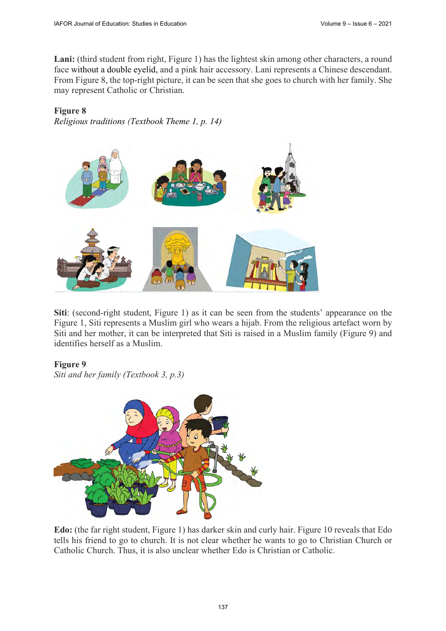Lani: (third student from right, Figure 1) has the lightest skin among other characters, a round face without a double eyelid, and a pink hair accessory. Lani represents a Chinese descendant. From Figure 8, the top-right picture, it can be seen that she goes to church with her family. She may represent Catholic or Christian.

## **Figure 8**

*Religious traditions (Textbook Theme 1, p. 14)*



**Siti**: (second-right student, Figure 1) as it can be seen from the students' appearance on the Figure 1, Siti represents a Muslim girl who wears a hijab. From the religious artefact worn by Siti and her mother, it can be interpreted that Siti is raised in a Muslim family (Figure 9) and identifies herself as a Muslim.

## **Figure 9**

*Siti and her family (Textbook 3, p.3)*



**Edo:** (the far right student, Figure 1) has darker skin and curly hair. Figure 10 reveals that Edo tells his friend to go to church. It is not clear whether he wants to go to Christian Church or Catholic Church. Thus, it is also unclear whether Edo is Christian or Catholic.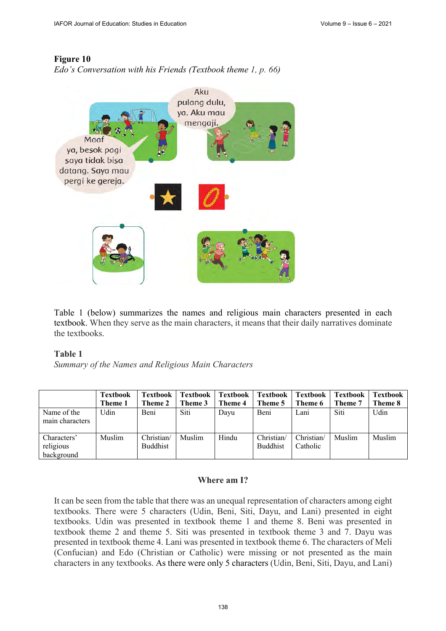## **Figure 10**

*Edo's Conversation with his Friends (Textbook theme 1, p. 66)*



Table 1 (below) summarizes the names and religious main characters presented in each textbook. When they serve as the main characters, it means that their daily narratives dominate the textbooks.

### **Table 1**

*Summary of the Names and Religious Main Characters* 

|                                        | <b>Textbook</b><br>Theme 1 | <b>Textbook</b><br>Theme 2 | <b>Textbook</b><br>Theme 3 | <b>Textbook</b><br>Theme 4 | Textbook<br>Theme 5           | <b>Textbook</b><br>Theme 6 | <b>Textbook</b><br>Theme 7 | Textbook<br>Theme 8 |
|----------------------------------------|----------------------------|----------------------------|----------------------------|----------------------------|-------------------------------|----------------------------|----------------------------|---------------------|
| Name of the<br>main characters         | Udin                       | Beni                       | Siti                       | Dayu                       | Beni                          | Lani                       | Siti                       | Udin                |
| Characters'<br>religious<br>background | Muslim                     | Christian/<br>Buddhist     | Muslim                     | Hindu                      | Christian/<br><b>Buddhist</b> | Christian/<br>Catholic     | Muslim                     | Muslim              |

## **Where am I?**

It can be seen from the table that there was an unequal representation of characters among eight textbooks. There were 5 characters (Udin, Beni, Siti, Dayu, and Lani) presented in eight textbooks. Udin was presented in textbook theme 1 and theme 8. Beni was presented in textbook theme 2 and theme 5. Siti was presented in textbook theme 3 and 7. Dayu was presented in textbook theme 4. Lani was presented in textbook theme 6. The characters of Meli (Confucian) and Edo (Christian or Catholic) were missing or not presented as the main characters in any textbooks. As there were only 5 characters (Udin, Beni, Siti, Dayu, and Lani)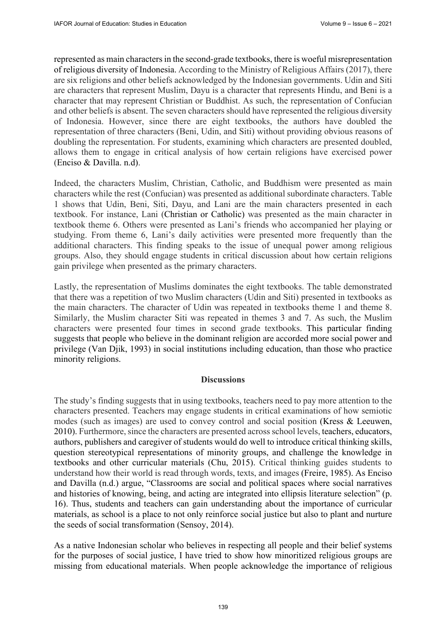represented as main characters in the second-grade textbooks, there is woeful misrepresentation of religious diversity of Indonesia. According to the Ministry of Religious Affairs (2017), there are six religions and other beliefs acknowledged by the Indonesian governments. Udin and Siti are characters that represent Muslim, Dayu is a character that represents Hindu, and Beni is a character that may represent Christian or Buddhist. As such, the representation of Confucian and other beliefs is absent. The seven characters should have represented the religious diversity of Indonesia. However, since there are eight textbooks, the authors have doubled the representation of three characters (Beni, Udin, and Siti) without providing obvious reasons of doubling the representation. For students, examining which characters are presented doubled, allows them to engage in critical analysis of how certain religions have exercised power (Enciso & Davilla. n.d).

Indeed, the characters Muslim, Christian, Catholic, and Buddhism were presented as main characters while the rest (Confucian) was presented as additional subordinate characters. Table 1 shows that Udin, Beni, Siti, Dayu, and Lani are the main characters presented in each textbook. For instance, Lani (Christian or Catholic) was presented as the main character in textbook theme 6. Others were presented as Lani's friends who accompanied her playing or studying. From theme 6, Lani's daily activities were presented more frequently than the additional characters. This finding speaks to the issue of unequal power among religious groups. Also, they should engage students in critical discussion about how certain religions gain privilege when presented as the primary characters.

Lastly, the representation of Muslims dominates the eight textbooks. The table demonstrated that there was a repetition of two Muslim characters (Udin and Siti) presented in textbooks as the main characters. The character of Udin was repeated in textbooks theme 1 and theme 8. Similarly, the Muslim character Siti was repeated in themes 3 and 7. As such, the Muslim characters were presented four times in second grade textbooks. This particular finding suggests that people who believe in the dominant religion are accorded more social power and privilege (Van Djik, 1993) in social institutions including education, than those who practice minority religions.

### **Discussions**

The study's finding suggests that in using textbooks, teachers need to pay more attention to the characters presented. Teachers may engage students in critical examinations of how semiotic modes (such as images) are used to convey control and social position (Kress & Leeuwen, 2010). Furthermore, since the characters are presented across school levels, teachers, educators, authors, publishers and caregiver of students would do well to introduce critical thinking skills, question stereotypical representations of minority groups, and challenge the knowledge in textbooks and other curricular materials (Chu, 2015). Critical thinking guides students to understand how their world is read through words, texts, and images (Freire, 1985). As Enciso and Davilla (n.d.) argue, "Classrooms are social and political spaces where social narratives and histories of knowing, being, and acting are integrated into ellipsis literature selection" (p. 16). Thus, students and teachers can gain understanding about the importance of curricular materials, as school is a place to not only reinforce social justice but also to plant and nurture the seeds of social transformation (Sensoy, 2014).

As a native Indonesian scholar who believes in respecting all people and their belief systems for the purposes of social justice, I have tried to show how minoritized religious groups are missing from educational materials. When people acknowledge the importance of religious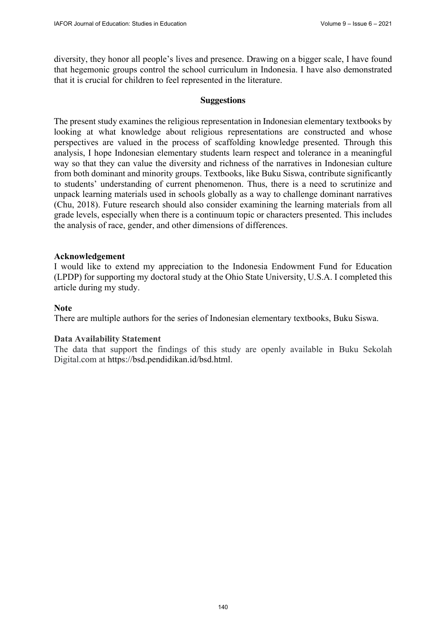diversity, they honor all people's lives and presence. Drawing on a bigger scale, I have found that hegemonic groups control the school curriculum in Indonesia. I have also demonstrated that it is crucial for children to feel represented in the literature.

#### **Suggestions**

The present study examines the religious representation in Indonesian elementary textbooks by looking at what knowledge about religious representations are constructed and whose perspectives are valued in the process of scaffolding knowledge presented. Through this analysis, I hope Indonesian elementary students learn respect and tolerance in a meaningful way so that they can value the diversity and richness of the narratives in Indonesian culture from both dominant and minority groups. Textbooks, like Buku Siswa, contribute significantly to students' understanding of current phenomenon. Thus, there is a need to scrutinize and unpack learning materials used in schools globally as a way to challenge dominant narratives (Chu, 2018). Future research should also consider examining the learning materials from all grade levels, especially when there is a continuum topic or characters presented. This includes the analysis of race, gender, and other dimensions of differences.

#### **Acknowledgement**

I would like to extend my appreciation to the Indonesia Endowment Fund for Education (LPDP) for supporting my doctoral study at the Ohio State University, U.S.A. I completed this article during my study.

#### **Note**

There are multiple authors for the series of Indonesian elementary textbooks, Buku Siswa.

#### **Data Availability Statement**

The data that support the findings of this study are openly available in Buku Sekolah Digital.com at [https://bsd.pendidikan.id/bsd.html.](https://bsd.pendidikan.id/bsd.html)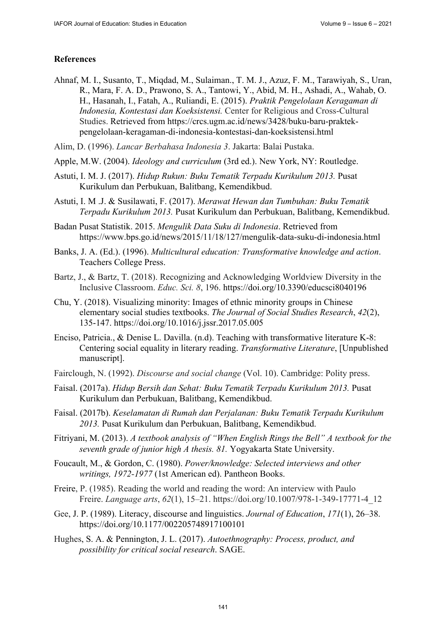# **References**

- Ahnaf, M. I., Susanto, T., Miqdad, M., Sulaiman., T. M. J., Azuz, F. M., Tarawiyah, S., Uran, R., Mara, F. A. D., Prawono, S. A., Tantowi, Y., Abid, M. H., Ashadi, A., Wahab, O. H., Hasanah, I., Fatah, A., Ruliandi, E. (2015). *Praktik Pengelolaan Keragaman di Indonesia, Kontestasi dan Koeksistensi.* Center for Religious and Cross-Cultural [Studies. Retrieved from https://crcs.ugm.ac.id/news/3428/buku-baru-praktek](https://crcs.ugm.ac.id/news/3428/buku-baru-praktek-pengelolaan-keragaman-di-indonesia-kontestasi-dan-koeksistensi.html)pengelolaan-[keragaman-di-indonesia-kontestasi-dan-koeksistensi.html](https://crcs.ugm.ac.id/news/3428/buku-baru-praktek-pengelolaan-keragaman-di-indonesia-kontestasi-dan-koeksistensi.html)
- Alim, D. (1996). *Lancar Berbahasa Indonesia 3*. Jakarta: Balai Pustaka.
- Apple, M.W. (2004). *Ideology and curriculum* (3rd ed.). New York, NY: Routledge.
- Astuti, I. M. J. (2017). *Hidup Rukun: Buku Tematik Terpadu Kurikulum 2013.* Pusat Kurikulum dan Perbukuan, Balitbang, Kemendikbud.
- Astuti, I. M .J. & Susilawati, F. (2017). *Merawat Hewan dan Tumbuhan: Buku Tematik Terpadu Kurikulum 2013.* Pusat Kurikulum dan Perbukuan, Balitbang, Kemendikbud.
- Badan Pusat Statistik. 2015. *Mengulik Data Suku di Indonesia*. Retrieved from <https://www.bps.go.id/news/2015/11/18/127/mengulik-data-suku-di-indonesia.html>
- Banks, J. A. (Ed.). (1996). *Multicultural education: Transformative knowledge and action*. Teachers College Press.
- Bartz, J., & Bartz, T. (2018). Recognizing and Acknowledging Worldview Diversity in the Inclusive Classroom. *Educ. Sci. 8*, 196. <https://doi.org/10.3390/educsci8040196>
- Chu, Y. (2018). Visualizing minority: Images of ethnic minority groups in Chinese elementary social studies textbooks. *The Journal of Social Studies Research*, *42*(2), 135-147. <https://doi.org/10.1016/j.jssr.2017.05.005>
- Enciso, Patricia., & Denise L. Davilla. (n.d). Teaching with transformative literature K-8: Centering social equality in literary reading. *Transformative Literature*, [Unpublished manuscript].
- Fairclough, N. (1992). *Discourse and social change* (Vol. 10). Cambridge: Polity press.
- Faisal. (2017a). *Hidup Bersih dan Sehat: Buku Tematik Terpadu Kurikulum 2013.* Pusat Kurikulum dan Perbukuan, Balitbang, Kemendikbud.
- Faisal. (2017b). *Keselamatan di Rumah dan Perjalanan: Buku Tematik Terpadu Kurikulum 2013.* Pusat Kurikulum dan Perbukuan, Balitbang, Kemendikbud.
- Fitriyani, M. (2013). *A textbook analysis of "When English Rings the Bell" A textbook for the seventh grade of junior high A thesis. 81.* Yogyakarta State University.
- Foucault, M., & Gordon, C. (1980). *Power/knowledge: Selected interviews and other writings, 1972-1977* (1st American ed). Pantheon Books.
- Freire, P. (1985). Reading the world and reading the word: An interview with Paulo Freire. *Language arts*, *62*(1), 15–21. [https://doi.org/10.1007/978-1-349-17771-4\\_12](https://doi.org/10.1007/978-1-349-17771-4_12)
- Gee, J. P. (1989). Literacy, discourse and linguistics. *Journal of Education*, *171*(1), 26–38. <https://doi.org/10.1177/002205748917100101>
- Hughes, S. A. & Pennington, J. L. (2017). *Autoethnography: Process, product, and possibility for critical social research*. SAGE.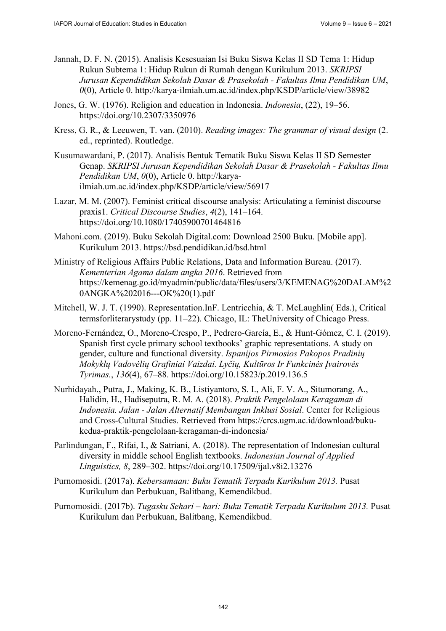- Jannah, D. F. N. (2015). Analisis Kesesuaian Isi Buku Siswa Kelas II SD Tema 1: Hidup Rukun Subtema 1: Hidup Rukun di Rumah dengan Kurikulum 2013. *SKRIPSI Jurusan Kependidikan Sekolah Dasar & Prasekolah - Fakultas Ilmu Pendidikan UM*, *0*(0), Article 0.<http://karya-ilmiah.um.ac.id/index.php/KSDP/article/view/38982>
- Jones, G. W. (1976). Religion and education in Indonesia. *Indonesia*, (22), 19–56. <https://doi.org/10.2307/3350976>
- Kress, G. R., & Leeuwen, T. van. (2010). *Reading images: The grammar of visual design* (2. ed., reprinted). Routledge.
- Kusumawardani, P. (2017). Analisis Bentuk Tematik Buku Siswa Kelas II SD Semester Genap. *SKRIPSI Jurusan Kependidikan Sekolah Dasar & Prasekolah - Fakultas Ilmu Pendidikan UM*, *0*(0), Article 0. [http://kar](http://karya-ilmiah.um.ac.id/index.php/KSDP/article/view/56917)ya[ilmiah.um.ac.id/index.php/KSDP/article/view/56917](http://karya-ilmiah.um.ac.id/index.php/KSDP/article/view/56917)
- Lazar, M. M. (2007). Feminist critical discourse analysis: Articulating a feminist discourse praxis1. *Critical Discourse Studies*, *4*(2), 141–164. <https://doi.org/10.1080/17405900701464816>
- Mahoni.com. (2019). Buku Sekolah Digital.com: Download 2500 Buku. [Mobile app]. Kurikulum 2013. <https://bsd.pendidikan.id/bsd.html>
- Ministry of Religious Affairs Public Relations, Data and Information Bureau. (2017). *Kementerian Agama dalam angka 2016*. Retrieved from <https://kemenag.go.id/myadmin/public/data/files/users/3/KEMENAG%20DALAM%2> 0ANGKA%202016---OK%20(1).pdf
- Mitchell, W. J. T. (1990). Representation.InF. Lentricchia, & T. McLaughlin( Eds.), Critical termsforliterarystudy (pp. 11–22). Chicago, IL: TheUniversity of Chicago Press.
- Moreno-Fernández, O., Moreno-Crespo, P., Pedrero-García, E., & Hunt-Gómez, C. I. (2019). Spanish first cycle primary school textbooks' graphic representations. A study on gender, culture and functional diversity. *Ispanijos Pirmosios Pakopos Pradinių Mokyklų Vadovėlių Grafiniai Vaizdai. Lyčių, Kultūros Ir Funkcinės Įvairovės Tyrimas.*, *136*(4), 67–88.<https://doi.org/10.15823/p.2019.136.5>
- Nurhidayah., Putra, J., Making, K. B., Listiyantoro, S. I., Ali, F. V. A., Situmorang, A., Halidin, H., Hadiseputra, R. M. A. (2018). *Praktik Pengelolaan Keragaman di Indonesia. Jalan - Jalan Alternatif Membangun Inklusi Sosial*. Center for Religious [and Cross-Cultural Studies. Retrieved from https://crcs.ugm.ac.id/download/buku](https://crcs.ugm.ac.id/download/buku-kedua-praktik-pengelolaan-keragaman-di-indonesia/)kedua-[praktik-pengelolaan-keragaman-di-indonesia/](https://crcs.ugm.ac.id/download/buku-kedua-praktik-pengelolaan-keragaman-di-indonesia/)
- Parlindungan, F., Rifai, I., & Satriani, A. (2018). The representation of Indonesian cultural diversity in middle school English textbooks. *Indonesian Journal of Applied Linguistics, 8*, 289–302. <https://doi.org/10.17509/ijal.v8i2.13276>
- Purnomosidi. (2017a). *Kebersamaan: Buku Tematik Terpadu Kurikulum 2013.* Pusat Kurikulum dan Perbukuan, Balitbang, Kemendikbud.
- Purnomosidi. (2017b). *Tugasku Sehari hari: Buku Tematik Terpadu Kurikulum 2013.* Pusat Kurikulum dan Perbukuan, Balitbang, Kemendikbud.